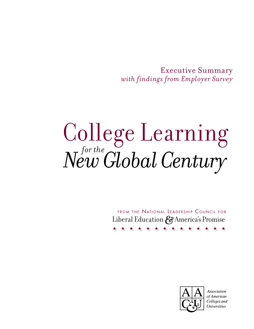Executive Summary *with findings from Employer Survey*

# College Learning *New Global Century for the*

FROM THE NATIONAL LEADERSHIP COUNCIL FOR Liberal Education & America's Promise

\* \* \* \* \* \* \*



Association of American Colleges and Universities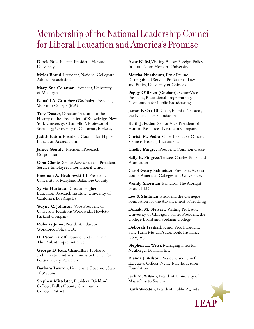# Membership of the National Leadership Council for Liberal Education and America's Promise

**Derek Bok**, Interim President, Harvard University

**Myles Brand**, President, National Collegiate Athletic Association

**Mary Sue Coleman**, President, University of Michigan

**Ronald A. Crutcher (Cochair)**, President, Wheaton College (MA)

**Troy Duster**, Director, Institute for the History of the Production of Knowledge, New York University; Chancellor's Professor of Sociology, University of California, Berkeley

**Judith Eaton**, President, Council for Higher Education Accreditation

**James Gentile**, President, Research Corporation

**Gina Glantz**, Senior Adviser to the President, Service Employees International Union

**Freeman A. Hrabowski III**, President, University of Maryland Baltimore County

**Sylvia Hurtado**, Director, Higher Education Research Institute, University of California, Los Angeles

**Wayne C. Johnson**, Vice President of University Relations Worldwide, Hewlett-Packard Company

**Roberts Jones**, President, Education Workforce Policy, LLC

**H. Peter Karoff**, Founder and Chairman, The Philanthropic Initiative

**George D. Kuh**, Chancellor's Professor and Director, Indiana University Center for Postsecondary Research

**Barbara Lawton**, Lieutenant Governor, State of Wisconsin

**Stephen Mittelstet**, President, Richland College, Dallas County Community College District

**Azar Nafisi**, Visiting Fellow, Foreign Policy Institute, Johns Hopkins University

**Martha Nussbaum**, Ernst Freund Distinguished Service Professor of Law and Ethics, University of Chicago

**Peggy O'Brien (Cochair)**, Senior Vice President, Educational Programming, Corporation for Public Broadcasting

**James F. Orr III**, Chair, Board of Trustees, the Rockefeller Foundation

**Keith J. Peden**, Senior Vice President of Human Resources, Raytheon Company

**Christi M. Pedra**, Chief Executive Officer, Siemens Hearing Instruments

**Chellie Pingree**, President, Common Cause

**Sally E. Pingree**, Trustee, Charles Engelhard Foundation

**Carol Geary Schneider**, President, Association of American Colleges and Universities

**Wendy Sherman**, Principal, The Albright Group, LLC

**Lee S. Shulman**, President, the Carnegie Foundation for the Advancement of Teaching

**Donald M. Stewart**, Visiting Professor, University of Chicago; Former President, the College Board and Spelman College

**Deborah Traskell**, Senior Vice President, State Farm Mutual Automobile Insurance Company

**Stephen H. Weiss**, Managing Director, Neuberger Berman, Inc.

**Blenda J. Wilson**, President and Chief Executive Officer, Nellie Mae Education Foundation

**Jack M. Wilson**, President, University of Massachusetts System

**Ruth Wooden**, President, Public Agenda

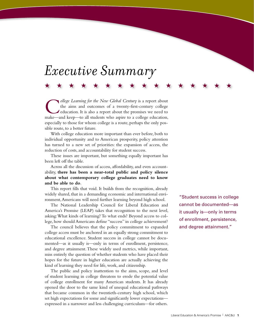# *Executive Summary*

 $\star$ 

★ ★ ★

**v** ollege Learning for the New Global Century is a report about the aims and outcomes of a twenty-first-century college education. It is also a report about the promises we need to make—and keep—to all students who aspire to a college education, especially to those for whom college is a route, perhaps the only possible route, to a better future.

 $\star$ 

With college education more important than ever before, both to individual opportunity and to American prosperity, policy attention has turned to a new set of priorities: the expansion of access, the reduction of costs, and accountability for student success.

These issues are important, but something equally important has been left off the table.

Across all the discussion of access, affordability, and even accountability, **there has been a near-total public and policy silence about what contemporary college graduates need to know and be able to do**.

This report fills that void. It builds from the recognition, already widely shared, that in a demanding economic and international environment, Americans will need further learning beyond high school.

The National Leadership Council for Liberal Education and America's Promise (LEAP) takes that recognition to the next level, asking: What kinds of learning? To what ends? Beyond access to college, how should Americans define "success" in college achievement?

The council believes that the policy commitment to expanded college access must be anchored in an equally strong commitment to educational excellence. Student success in college cannot be documented—as it usually is—only in terms of enrollment, persistence, and degree attainment. These widely used metrics, while important, miss entirely the question of whether students who have placed their hopes for the future in higher education are actually achieving the kind of learning they need for life, work, and citizenship.

The public and policy inattention to the aims, scope, and level of student learning in college threatens to erode the potential value of college enrollment for many American students. It has already opened the door to the same kind of unequal educational pathways that became common in the twentieth-century high school, which set high expectations for some and significantly lower expectations expressed in a narrower and less challenging curriculum—for others. "Student success in college cannot be documented—as it usually is—only in terms of enrollment, persistence, and degree attainment."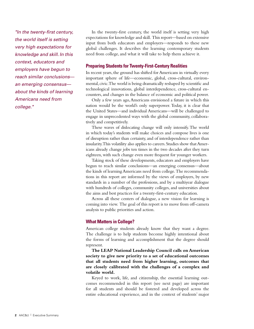*"In the twenty-first century, the world itself is setting very high expectations for knowledge and skill. In this context, educators and employers have begun to reach similar conclusions an emerging consensus about the kinds of learning Americans need from college."*

In the twenty-first century, the world itself is setting very high expectations for knowledge and skill. This report—based on extensive input from both educators and employers—responds to these new global challenges. It describes the learning contemporary students need from college, and what it will take to help them achieve it.

#### **Preparing Students for Twenty-First-Century Realities**

In recent years, the ground has shifted for Americans in virtually every important sphere of life—economic, global, cross-cultural, environmental, civic. The world is being dramatically reshaped by scientific and technological innovations, global interdependence, cross-cultural encounters, and changes in the balance of economic and political power.

Only a few years ago, Americans envisioned a future in which this nation would be the world's only superpower. Today, it is clear that the United States—and individual Americans—will be challenged to engage in unprecedented ways with the global community, collaboratively and competitively.

These waves of dislocating change will only intensify. The world in which today's students will make choices and compose lives is one of disruption rather than certainty, and of interdependence rather than insularity. This volatility also applies to careers. Studies show that Americans already change jobs ten times in the two decades after they turn eighteen, with such change even more frequent for younger workers.

Taking stock of these developments, educators and employers have begun to reach similar conclusions—an emerging consensus—about the kinds of learning Americans need from college. The recommendations in this report are informed by the views of employers, by new standards in a number of the professions, and by a multiyear dialogue with hundreds of colleges, community colleges, and universities about the aims and best practices for a twenty-first-century education.

Across all these centers of dialogue, a new vision for learning is coming into view. The goal of this report is to move from off-camera analysis to public priorities and action.

#### **What Matters in College?**

American college students already know that they want a degree. The challenge is to help students become highly intentional about the forms of learning and accomplishment that the degree should represent.

**The LEAP National Leadership Council calls on American society to give new priority to a set of educational outcomes that all students need from higher learning, outcomes that are closely calibrated with the challenges of a complex and volatile world.** 

Keyed to work, life, and citizenship, the essential learning outcomes recommended in this report (see next page) are important for all students and should be fostered and developed across the entire educational experience, and in the context of students' major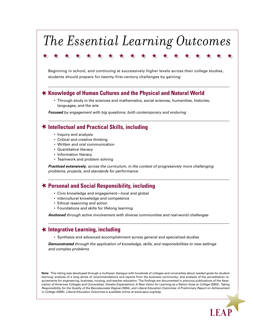# *The Essential Learning Outcomes*

Beginning in school, and continuing at successively higher levels across their college studies, students should prepare for twenty-first-century challenges by gaining:

### $★$  **Knowledge of Human Cultures and the Physical and Natural World**

• Through study in the sciences and mathematics, social sciences, humanities, histories, languages, and the arts

*Focused by engagement with big questions, both contemporary and enduring*

# **Intellectual and Practical Skills, including**

- Inquiry and analysis
- Critical and creative thinking
- Written and oral communication
- Quantitative literacy
- Information literacy
- Teamwork and problem solving

*Practiced extensively, across the curriculum, in the context of progressively more challenging problems, projects, and standards for performance*

### **Personal and Social Responsibility, including**

- Civic knowledge and engagement—local and global
- Intercultural knowledge and competence
- Ethical reasoning and action
- Foundations and skills for lifelong learning

*Anchored through active involvement with diverse communities and real-world challenges*

### **Integrative Learning, including**

• Synthesis and advanced accomplishment across general and specialized studies

*Demonstrated through the application of knowledge, skills, and responsibilities to new settings and complex problems*

**Note:** This listing was developed through a multiyear dialogue with hundreds of colleges and universities about needed goals for student learning; analysis of a long series of recommendations and reports from the business community; and analysis of the accreditation requirements for engineering, business, nursing, and teacher education. The findings are documented in previous publications of the Association of American Colleges and Universities: *Greater Expectations: A New Vision for Learning as a Nation Goes to College* (2002), *Taking Responsibility for the Quality of the Baccalaureate Degree* (2004), and *Liberal Education Outcomes: A Preliminary Report on Achievement in College* (2005). *Liberal Education Outcomes* is available online at www.aacu.org/leap.

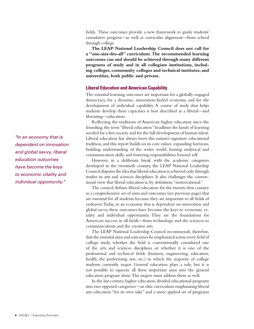fields. These outcomes provide a new framework to guide students' cumulative progress—as well as curricular alignment—from school through college.

**The LEAP National Leadership Council does not call for a "one-size-fits-all" curriculum. The recommended learning outcomes can and should be achieved through many different programs of study and in all collegiate institutions, including colleges, community colleges and technical institutes, and universities, both public and private.**

#### **Liberal Education and American Capability**

The essential learning outcomes are important for a globally engaged democracy, for a dynamic, innovation-fueled economy, and for the development of individual capability. A course of study that helps students develop these capacities is best described as a liberal—and liberating—education.

Reflecting the traditions of American higher education since the founding, the term "liberal education" headlines the kinds of learning needed for a free society and for the full development of human talent. Liberal education has always been this nation's signature educational tradition, and this report builds on its core values: expanding horizons, building understanding of the wider world, honing analytical and communication skills, and fostering responsibilities beyond self.

However, in a deliberate break with the academic categories developed in the twentieth century, the LEAP National Leadership Council disputes the idea that liberal education is achieved only through studies in arts and sciences disciplines. It also challenges the conventional view that liberal education is, by definition, "nonvocational."

The council defines liberal education for the twenty-first century as a comprehensive set of aims and outcomes (see previous page) that are essential for all students because they are important to all fields of endeavor. Today, in an economy that is dependent on innovation and global savvy, these outcomes have become the keys to economic vitality and individual opportunity. They are the foundations for American success in all fields—from technology and the sciences to communications and the creative arts.

The LEAP National Leadership Council recommends, therefore, that the essential aims and outcomes be emphasized across every field of college study, whether the field is conventionally considered one of the arts and sciences disciplines or whether it is one of the professional and technical fields (business, engineering, education, health, the performing arts, etc.) in which the majority of college students currently major. General education plays a role, but it is not possible to squeeze all these important aims into the general education program alone. The majors must address them as well.

In the last century, higher education divided educational programs into two opposed categories—an elite curriculum emphasizing liberal arts education "for its own sake" and a more applied set of programs

*"In an economy that is dependent on innovation and global savvy, liberal education outcomes have become the keys to economic vitality and individual opportunity."*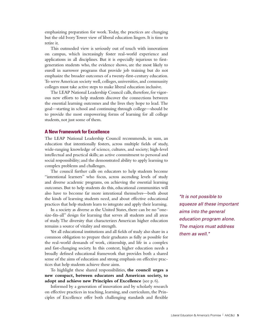emphasizing preparation for work. Today, the practices are changing but the old Ivory Tower view of liberal education lingers. It is time to retire it.

This outmoded view is seriously out of touch with innovations on campus, which increasingly foster real-world experience and applications in all disciplines. But it is especially injurious to firstgeneration students who, the evidence shows, are the most likely to enroll in narrower programs that provide job training but do not emphasize the broader outcomes of a twenty-first-century education. To serve American society well, colleges, universities, and community colleges must take active steps to make liberal education inclusive.

The LEAP National Leadership Council calls, therefore, for vigorous new efforts to help students discover the connections between the essential learning outcomes and the lives they hope to lead. The goal—starting in school and continuing through college—should be to provide the most empowering forms of learning for all college students, not just some of them.

#### **A New Framework for Excellence**

The LEAP National Leadership Council recommends, in sum, an education that intentionally fosters, across multiple fields of study, wide-ranging knowledge of science, cultures, and society; high-level intellectual and practical skills; an active commitment to personal and social responsibility; and the demonstrated ability to apply learning to complex problems and challenges.

The council further calls on educators to help students become "intentional learners" who focus, across ascending levels of study and diverse academic programs, on achieving the essential learning outcomes. But to help students do this, educational communities will also have to become far more intentional themselves—both about the kinds of learning students need, and about effective educational practices that help students learn to integrate and apply their learning.

In a society as diverse as the United States, there can be no "onesize-fits-all" design for learning that serves all students and all areas of study. The diversity that characterizes American higher education remains a source of vitality and strength.

Yet all educational institutions and all fields of study also share in a common obligation to prepare their graduates as fully as possible for the real-world demands of work, citizenship, and life in a complex and fast-changing society. In this context, higher education needs a broadly defined educational framework that provides both a shared sense of the aims of education and strong emphasis on effective practices that help students achieve these aims.

To highlight these shared responsibilities, **the council urges a new compact, between educators and American society, to adopt and achieve new Principles of Excellence** (see p. 6).

Informed by a generation of innovation and by scholarly research on effective practices in teaching, learning, and curriculum, the Principles of Excellence offer both challenging standards and flexible

*"It is not possible to squeeze all these important aims into the general education program alone. The majors must address them as well."*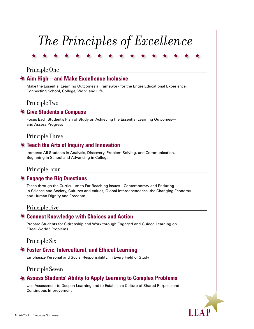# *The Principles of Excellence*

# Principle One

# **Aim High—and Make Excellence Inclusive**

Make the Essential Learning Outcomes a Framework for the Entire Educational Experience, Connecting School, College, Work, and Life

### Principle Two

# **Give Students a Compass**

Focus Each Student's Plan of Study on Achieving the Essential Learning Outcomes and Assess Progress

# Principle Three

# **Teach the Arts of Inquiry and Innovation**

Immerse All Students in Analysis, Discovery, Problem Solving, and Communication, Beginning in School and Advancing in College

# Principle Four

# **Engage the Big Questions**

Teach through the Curriculum to Far-Reaching Issues—Contemporary and Enduring in Science and Society, Cultures and Values, Global Interdependence, the Changing Economy, and Human Dignity and Freedom

#### Principle Five

# **Connect Knowledge with Choices and Action**

Prepare Students for Citizenship and Work through Engaged and Guided Learning on "Real-World" Problems

# Principle Six

# **Foster Civic, Intercultural, and Ethical Learning**

Emphasize Personal and Social Responsibility, in Every Field of Study

### Principle Seven

# **Assess Students' Ability to Apply Learning to Complex Problems**

Use Assessment to Deepen Learning and to Establish a Culture of Shared Purpose and Continuous Improvement

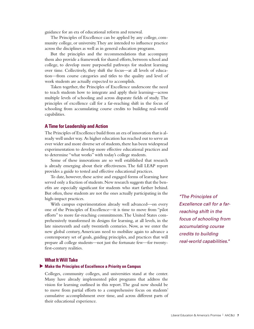guidance for an era of educational reform and renewal.

The Principles of Excellence can be applied by any college, community college, or university. They are intended to influence practice across the disciplines as well as in general education programs.

But the principles and the recommendations that accompany them also provide a framework for shared efforts, between school and college, to develop more purposeful pathways for student learning over time. Collectively, they shift the focus—at all levels of education—from course categories and titles to the quality and level of work students are actually expected to accomplish.

Taken together, the Principles of Excellence underscore the need to teach students how to integrate and apply their learning—across multiple levels of schooling and across disparate fields of study. The principles of excellence call for a far-reaching shift in the focus of schooling from accumulating course credits to building real-world capabilities.

#### **A Time for Leadership and Action**

The Principles of Excellence build from an era of innovation that is already well under way. As higher education has reached out to serve an ever wider and more diverse set of students, there has been widespread experimentation to develop more effective educational practices and to determine "what works" with today's college students.

Some of these innovations are so well established that research is already emerging about their effectiveness. The full LEAP report provides a guide to tested and effective educational practices.

To date, however, these active and engaged forms of learning have served only a fraction of students. New research suggests that the benefits are especially significant for students who start farther behind. But often, these students are not the ones actually participating in the high-impact practices.

With campus experimentation already well advanced—on every one of the Principles of Excellence—it is time to move from "pilot efforts" to more far-reaching commitments. The United States comprehensively transformed its designs for learning, at all levels, in the late nineteenth and early twentieth centuries. Now, as we enter the new global century, Americans need to mobilize again to advance a contemporary set of goals, guiding principles, and practices that will prepare all college students—not just the fortunate few—for twentyfirst-century realities.

#### **What It Will Take**

#### **Make the Principles of Excellence a Priority on Campus**

Colleges, community colleges, and universities stand at the center. Many have already implemented pilot programs that address the vision for learning outlined in this report. The goal now should be to move from partial efforts to a comprehensive focus on students' cumulative accomplishment over time, and across different parts of their educational experience.

*"The Principles of Excellence call for a farreaching shift in the focus of schooling from accumulating course credits to building real-world capabilities."*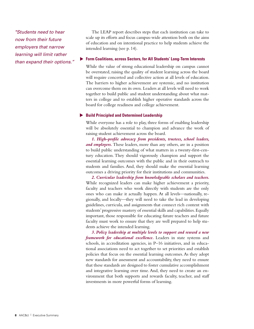*"Students need to hear now from their future employers that narrow learning will limit rather than expand their options."*

The LEAP report describes steps that each institution can take to scale up its efforts and focus campus-wide attention both on the aims of education and on intentional practice to help students achieve the intended learning (see p. 14).

#### **Form Coalitions, across Sectors, for All Students' Long-Term Interests**

While the value of strong educational leadership on campus cannot be overstated, raising the quality of student learning across the board will require concerted and collective action at all levels of education. The barriers to higher achievement are systemic, and no institution can overcome them on its own. Leaders at all levels will need to work together to build public and student understanding about what matters in college and to establish higher operative standards across the board for college readiness and college achievement.

#### **Build Principled and Determined Leadership**

While everyone has a role to play, three forms of enabling leadership will be absolutely essential to champion and advance the work of raising student achievement across the board.

 *1. High-profile advocacy from presidents, trustees, school leaders, and employers.* These leaders, more than any others, are in a position to build public understanding of what matters in a twenty-first-century education. They should vigorously champion and support the essential learning outcomes with the public and in their outreach to students and families. And, they should make the essential learning outcomes a driving priority for their institutions and communities.

*2. Curricular leadership from knowledgeable scholars and teachers.* While recognized leaders can make higher achievement a priority, faculty and teachers who work directly with students are the only ones who can make it actually happen. At all levels—nationally, regionally, and locally—they will need to take the lead in developing guidelines, curricula, and assignments that connect rich content with students' progressive mastery of essential skills and capabilities. Equally important, those responsible for educating future teachers and future faculty must work to ensure that they are well prepared to help students achieve the intended learning.

*3. Policy leadership at multiple levels to support and reward a new framework for educational excellence.* Leaders in state systems and schools, in accreditation agencies, in P–16 initiatives, and in educational associations need to act together to set priorities and establish policies that focus on the essential learning outcomes. As they adopt new standards for assessment and accountability, they need to ensure that these standards are designed to foster cumulative accomplishment and integrative learning over time. And, they need to create an environment that both supports and rewards faculty, teacher, and staff investments in more powerful forms of learning.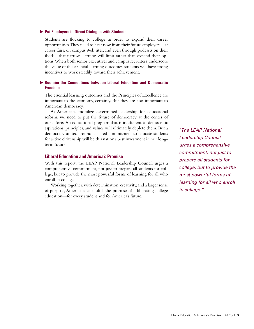#### **Put Employers in Direct Dialogue with Students**

Students are flocking to college in order to expand their career opportunities. They need to hear now from their future employers—at career fairs, on campus Web sites, and even through podcasts on their iPods—that narrow learning will limit rather than expand their options. When both senior executives and campus recruiters underscore the value of the essential learning outcomes, students will have strong incentives to work steadily toward their achievement.

#### **Reclaim the Connections between Liberal Education and Democratic Freedom**

The essential learning outcomes and the Principles of Excellence are important to the economy, certainly. But they are also important to American democracy.

As Americans mobilize determined leadership for educational reform, we need to put the future of democracy at the center of our efforts. An educational program that is indifferent to democratic aspirations, principles, and values will ultimately deplete them. But a democracy united around a shared commitment to educate students for active citizenship will be this nation's best investment in our longterm future.

#### **Liberal Education and America's Promise**

With this report, the LEAP National Leadership Council urges a comprehensive commitment, not just to prepare all students for college, but to provide the most powerful forms of learning for all who enroll in college.

Working together, with determination, creativity, and a larger sense of purpose, Americans can fulfill the promise of a liberating college education—for every student and for America's future.

*"The LEAP National Leadership Council urges a comprehensive commitment, not just to prepare all students for college, but to provide the most powerful forms of learning for all who enroll in college."*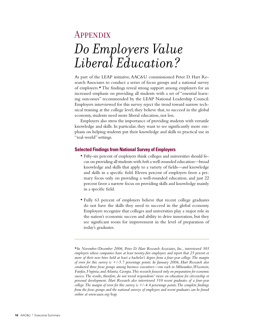# **APPENDIX** *Do Employers Value Liberal Education?*

As part of the LEAP initiative, AAC&U commissioned Peter D. Hart Research Associates to conduct a series of focus groups and a national survey of employers.\* The findings reveal strong support among employers for an increased emphasis on providing all students with a set of "essential learning outcomes" recommended by the LEAP National Leadership Council. Employers interviewed for this survey reject the trend toward narrow technical training at the college level; they believe that, to succeed in the global economy, students need more liberal education, not less.

Employers also stress the importance of providing students with versatile knowledge and skills. In particular, they want to see significantly more emphasis on helping students put their knowledge and skills to practical use in "real-world" settings.

#### **Selected Findings from National Survey of Employers**

- Fifty-six percent of employers think colleges and universities should focus on providing all students with *both* a well-rounded education—broad knowledge and skills that apply to a variety of fields—*and* knowledge and skills in a specific field. Eleven percent of employers favor a primary focus only on providing a well-rounded education, and just 22 percent favor a narrow focus on providing skills and knowledge mainly in a specific field.
- Fully 63 percent of employers believe that recent college graduates do not have the skills they need to succeed in the global economy. Employers recognize that colleges and universities play a major role in the nation's economic success and ability to drive innovation, but they see significant room for improvement in the level of preparation of today's graduates.

<sup>\*</sup>*In November/December 2006, Peter D. Hart Research Associates, Inc., interviewed 305 employers whose companies have at least twenty-five employees and report that 25 percent or more of their new hires hold at least a bachelor's degree from a four-year college. The margin of error for this survey is +/-5.7 percentage points. In January 2006, Hart Research also conducted three focus groups among business executives—one each in Milwaukee, Wisconsin; Fairfax, Virginia; and Atlanta, Georgia. This research focused only on preparation for economic success. The results, therefore, do not reveal respondents' views on education for citizenship or personal development. Hart Research also interviewed 510 recent graduates of a four-year college. The margin of error for this survey is +/-4.4 percentage points. The complete findings from the focus groups and the national surveys of employers and recent graduates can be found online at www.aacu.org/leap.*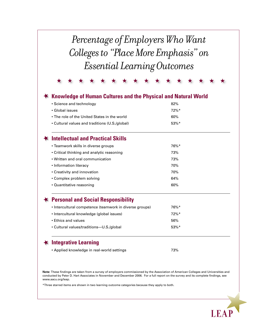# *Percentage of Employers Who Want Colleges to "Place More Emphasis" on Essential Learning Outcomes*

| $\blacktriangleright$ Knowledge of Human Cultures and the Physical and Natural World |         |
|--------------------------------------------------------------------------------------|---------|
| • Science and technology                                                             | 82%     |
| • Global issues                                                                      | $72\%*$ |
| • The role of the United States in the world                                         | 60%     |
| • Cultural values and traditions (U.S./global)                                       | $53\%*$ |
| $\star$ Intellectual and Practical Skills                                            |         |
| • Teamwork skills in diverse groups                                                  | $76\%*$ |
| • Critical thinking and analytic reasoning                                           | 73%     |
| • Written and oral communication                                                     | 73%     |
| • Information literacy                                                               | 70%     |
| • Creativity and innovation                                                          | 70%     |

# **Personal and Social Responsibility**

| • Intercultural competence (teamwork in diverse groups) | $76\%*$ |
|---------------------------------------------------------|---------|
| • Intercultural knowledge (global issues)               | $72%$ * |
| $\bm{\cdot}$ Ethics and values $\bm{\cdot}$             | 56%     |
| • Cultural values/traditions—U.S./qlobal                | $53\%*$ |

• Complex problem solving example of the complex problem solving • Quantitative reasoning and the contract of the 60%

# **Integrative Learning**

• Applied knowledge in real-world settings 73%

**Note:** These findings are taken from a survey of employers commissioned by the Association of American Colleges and Universities and conducted by Peter D. Hart Associates in November and December 2006. For a full report on the survey and its complete findings, see www.aacu.org/leap.

\*Three starred items are shown in two learning outcome categories because they apply to both.

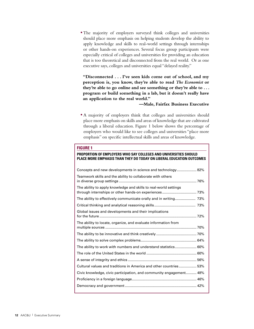•The majority of employers surveyed think colleges and universities should place more emphasis on helping students develop the ability to apply knowledge and skills to real-world settings through internships or other hands-on experiences. Several focus group participants were especially critical of colleges and universities for providing an education that is too theoretical and disconnected from the real world. Or as one executive says, colleges and universities equal "delayed reality."

 **"Disconnected . . . I've seen kids come out of school, and my perception is, you know, they're able to read** *The Economist* **or they're able to go online and see something or they're able to . . . program or build something in a lab, but it doesn't really have an application to the real world."**

 **—Male, Fairfax Business Executive**

• A majority of employers think that colleges and universities should place more emphasis on skills and areas of knowledge that are cultivated through a liberal education. Figure 1 below shows the percentage of employers who would like to see colleges and universities "place more emphasis" on specific intellectual skills and areas of knowledge.

#### **Figure 1**

#### **Proportion Of Employers Who Say Colleges And Universities Should Place More Emphasis Than They Do Today On Liberal Education Outcomes**

| Concepts and new developments in science and technology 82%        |
|--------------------------------------------------------------------|
| Teamwork skills and the ability to collaborate with others         |
| The ability to apply knowledge and skills to real-world settings   |
| The ability to effectively communicate orally and in writing 73%   |
|                                                                    |
| Global issues and developments and their implications              |
| The ability to locate, organize, and evaluate information from     |
|                                                                    |
|                                                                    |
| The ability to work with numbers and understand statistics 60%     |
|                                                                    |
|                                                                    |
| Cultural values and traditions in America and other countries 53%  |
| Civic knowledge, civic participation, and community engagement 48% |
|                                                                    |
|                                                                    |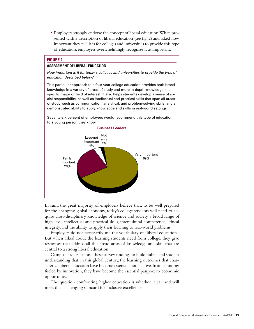• Employers strongly endorse the concept of liberal education. When presented with a description of liberal education (see fig. 2) and asked how important they feel it is for colleges and universities to provide this type of education, employers overwhelmingly recognize it as important.

#### **Figure 2**

#### **Assessment of liberal education**

*How important is it for today's colleges and universities to provide the type of education described below?*

This particular approach to a four-year college education provides both broad knowledge in a variety of areas of study and more in-depth knowledge in a specific major or field of interest. It also helps students develop a sense of social responsibility, as well as intellectual and practical skills that span all areas of study, such as communication, analytical, and problem-solving skills, and a demonstrated ability to apply knowledge and skills in real-world settings.

Seventy-six percent of employers would recommend this type of education to a young person they know.



In sum, the great majority of employers believe that, to be well prepared for the changing global economy, today's college students will need to acquire cross-disciplinary knowledge of science and society, a broad range of high-level intellectual and practical skills, intercultural competence, ethical integrity, and the ability to apply their learning to real-world problems.

Employers do not necessarily use the vocabulary of "liberal education." But when asked about the learning students need from college, they give responses that address all the broad areas of knowledge and skill that are central to a strong liberal education.

Campus leaders can use these survey findings to build public and student understanding that, in this global century, the learning outcomes that characterize liberal education have become essential, not elective. In an economy fueled by innovation, they have become the essential passport to economic opportunity.

The question confronting higher education is whether it can and will meet this challenging standard for inclusive excellence.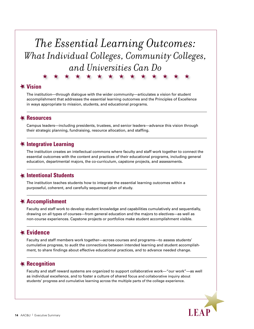# *The Essential Learning Outcomes: What Individual Colleges, Community Colleges, and Universities Can Do*  $\star$

# **Vision**

The institution—through dialogue with the wider community—articulates a vision for student accomplishment that addresses the essential learning outcomes and the Principles of Excellence in ways appropriate to mission, students, and educational programs.

### **Resources**

Campus leaders—including presidents, trustees, and senior leaders—advance this vision through their strategic planning, fundraising, resource allocation, and staffing.

# **Integrative Learning**

The institution creates an intellectual commons where faculty and staff work together to connect the essential outcomes with the content and practices of their educational programs, including general education, departmental majors, the co-curriculum, capstone projects, and assessments.

# **Intentional Students**

The institution teaches students how to integrate the essential learning outcomes within a purposeful, coherent, and carefully sequenced plan of study.

# **Accomplishment**

Faculty and staff work to develop student knowledge and capabilities cumulatively and sequentially, drawing on all types of courses—from general education and the majors to electives—as well as non-course experiences. Capstone projects or portfolios make student accomplishment visible.

# **Evidence**

Faculty and staff members work together—across courses and programs—to assess students' cumulative progress, to audit the connections between intended learning and student accomplishment, to share findings about effective educational practices, and to advance needed change.

# **Recognition**

Faculty and staff reward systems are organized to support collaborative work—"our work"—as well as individual excellence, and to foster a culture of shared focus and collaborative inquiry about students' progress and cumulative learning across the multiple parts of the college experience.